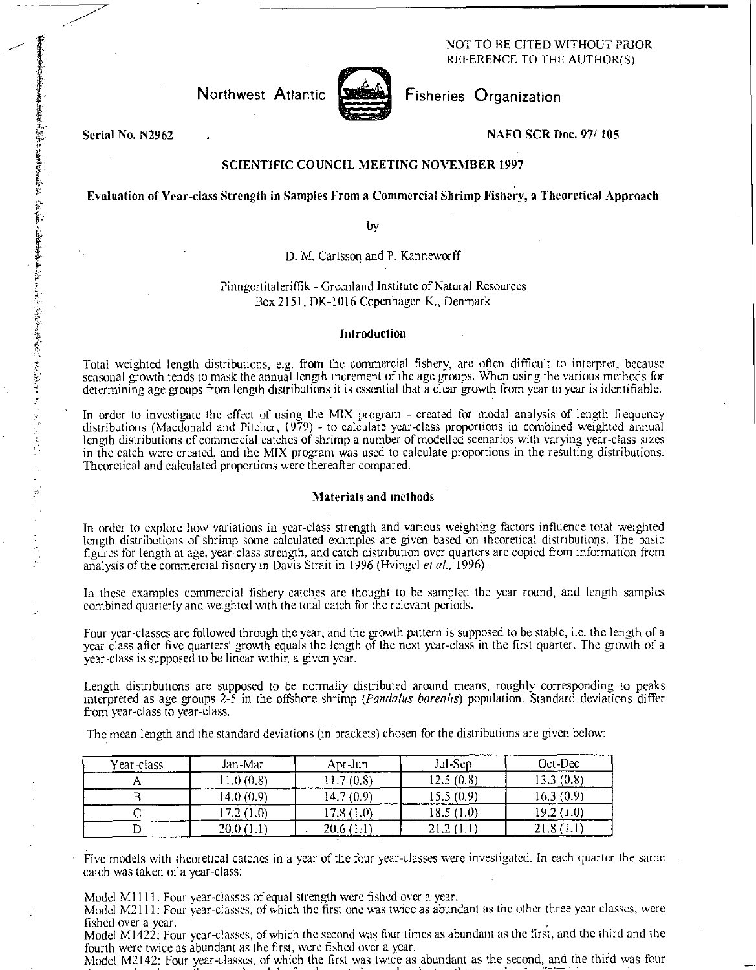## NOT TO BE CITED WITHOUT PRIOR REFERENCE TO THE AUTHOR(S)



Northwest Atlantic **Fisheries** Organization

Serial No. N2962 NAFO SCR Doc. 97/ 105

在复数单位选择 化松弛计 化单位对应电动机能力 化作业分析 计符号字符 医小脑下的 医心血管 化硫酸铝合金 计定位的 计多点的地位 十一岁

## SCIENTIFIC COUNCIL MEETING NOVEMBER 1997

# Evaluation of Year-class Strength in Samples From a Commercial Shrimp Fishery, a Theoretical Approach

by

D. M. Carlsson and P. Kanneworff

## Pinngortitaleriffik - Greenland Institute of Natural Resources Box 2151, DK-1016 Copenhagen K., Denmark

#### Introduction

Total weighted length distributions, e.g. from the commercial fishery, are often difficult to interpret, because seasonal growth tends to mask the annual length increment of the age groups. When using the various methods for determining age groups from length distributions it is essential that a clear growth from year to year is identifiable.

In order to investigate the effect of using the MIX program - created for modal analysis of length frequency distributions (Macdonald and Pitcher, 1979) - to calculate year-class proportions in combined weighted annual length distributions of commercial catches of shrimp a number of modelled scenarios with varying year-class sizes in the catch were created, and the MIX program was used to calculate proportions in the resulting distributions. Theoretical and calculated proportions were thereafter compared.

# Materials and methods

In order to explore how variations in year-class strength and various weighting factors influence total weighted length distributions of shrimp some calculated examples are given based on theoretical distributions. The basic figures for length at age, year-class strength, and catch distribution over quarters are copied from information from analysis of the commercial fishery in Davis Strait in 1996 (Hvingel *et aL,* 1996).

In these examples commercial fishery catches are thought to be sampled the year round, and length samples combined quarterly and weighted with the total catch for the relevant periods.

Four year-classes are followed through the year, and the growth pattern is supposed to be stable, i.e. the length of a year-class after five quarters' growth equals the length of the next year-class in the first quarter. The growth of a year-class is supposed to be linear within a given year.

Length distributions are supposed to be normally distributed around means, roughly corresponding to peaks interpreted as age groups 2-5 in the offshore shrimp *(Pandalus borealis)* population. Standard deviations differ from year-class to year-class.

The mean length and the standard deviations (in brackets) chosen for the distributions are given below:

| Year-class | Jan-Mar    | Apr-Jun    | Jul-Sep   | $Oct$ -Dec   |
|------------|------------|------------|-----------|--------------|
|            | .1.0(0.8)  | 7(0.8)     | 12.5(0.8) | 13.3 (0.8)   |
|            | 14.0(0.9)  | (4.7 (0.9) | 15.5(0.9) | .6.3(0.9)    |
|            | (7.2(1.0)) | 17.8 (1.0) | 18.5(1.0) | 19.2 (1.0)   |
|            | 20.0(1.1)  | 20.6(1.1)  | 21.2      | $-21.8(1.1)$ |

Five models with theoretical catches in a year of the four year-classes were investigated. In each quarter the same catch was taken of a year-class:

Model Ml 111: Four year-classes of equal strength were fished over a year.

Model M2111: Four year-classes, of which the first one was twice as abundant as the other three year classes, were fished over a year.

Model M1422: Four year-classes, of which the second was four times as abundant as the first, and the third and the fourth were twice as abundant as the first, were fished over a year.

Model M2142: Four year-classes, of which the first was twice as abundant as the second, and the third was four  $\mathbf{r} = \mathbf{r} \cdot \mathbf{r}$  , and the set of  $\mathbf{r} = \mathbf{r} \cdot \mathbf{r}$  , and  $\mathbf{r} = \mathbf{r} \cdot \mathbf{r}$  , and  $\mathbf{r} = \mathbf{r} \cdot \mathbf{r}$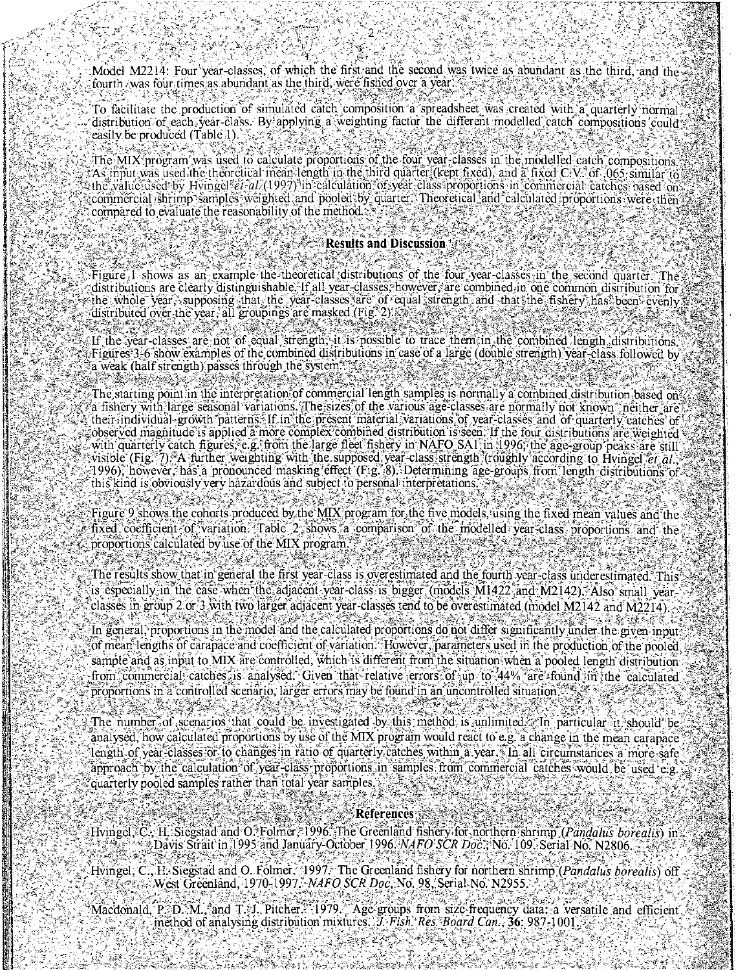Model M2214: Four year-classes, of which the first and the second was twice as abundant as the third, and the fourth /was four times as abundant as the third, were fished over a vear.

To facilitate the production of simulated catch composition a spreadsheet was created with a quarterly normal distribution of each year-class. By applying a weighting factor the different modelled catch compositions could easily be produced (Table 1).

The MIX program was used to calculate proportions of the four year-classes in the modelled catch compositions As input was used the theoretical mean length in the third quarter (kept fixed), and a fixed C-V- of 065, similar to the value used by Hvingel *et ali* (1997) in calculation of year-class proportions in commercial catches based on commercial shrimp samples weighted and pooled by quarter. Theoretical and calculated proportions were then compared to evaluate the reasonability of the method.

#### **Results and Discussion**

Figure, I shows as an example the theoretical distributions of the four year-classes in the second quarter. The distributions are clearly distinguishable. If all year-classes, however, are combined in one common distribution for the whole year, supposing that the year-classes are of equal strength and that the fishery has been evenly distributed over the year, all groupings are masked (Fig. 2).

If the year-classes are not of equal strength, it is possible to trace them in the combined length distributions. Figures 3-6 show examples of the combined distributions in case of a large (double strength) year-class followed by a weak (half strength) passes through the system.

The starting point in the interpretation of commercial length samples is normally a combined distribution based on a fishery with large seasonal variations. [The sizes of the various age-classes are normally not known "neither are their individual growth patterns If in the present material variations of year-classes and of quarterly catches of observed magnitude is applied a more complex combined distribution is seen. If the four distributions are weighted with quarterly catch figures, e.g. from the large fleet fishery in NAFO SAI in 1996, the age-group peaks are still visible (Fig. 7) A further weighting with the supposed year-class strength (roughly according to Hvingel et al. 1996), however, has a pronounced masking effect (Fig. 8). Determining age-groups from length distributions of this kind is obviously very hazardous and subject to personal interpretations.

Figure 9 shows the cohorts produced by the MIX program for the five models, using the fixed mean values and the fixed coefficient of variation. Table 2 shows a comparison of the modelled year-class proportions and the proportions calculated by use of the MIX program

The results show that in general the first year-class is overestimated and the fourth year-class underestimated. This is especially in the case when the adjacent year-class is bigger (models M1422 and M2142). Also small yearclasses in group 2 or 3 with two larger adjacent year-classes tend to be overestimated (model M2142 and M2214) In general, proportions in the model and the calculated proportions do not differ significantly under the given input of mean lengths of carapace and coefficient of variation. However, parameters used in the production of the pooled sample and as input to MIX are controlled, which is different from the situation when a pooled length distribution from commercial catches is analysed. Given that relative errors of up to 44% are found in the calculated proportions in a controlled scenario, larger errors may be found in an uncontrolled situation.

The number of scenarios that could be investigated by this method, is unlimited z In particular it should be analysed. how calculated proportions by use of the MIX program would react to e.g. a change in the mean carapace length of year-classes or to changes in ratio of quarterly catches within a year. In all circumstances a more safe approach by the calculation of year-class proportions, in samples from commercial catches would be used e.g. quarterly pooled samples rather than total year samples

#### **References**

Hvingel, C., H. Siegstad and O. Folmer, 1996. The Greenland fishery for northern shrimp (Pandalus borealis) in Davis Strait in 1995 and January-October 1996. NAFO SCR Doc., No. 109. Serial No. N2806.

Hvingel, C., H. Siegstad and O. Folmer. 1997. The Greenland fishery for northern shrimp (*Pandalus borealis*) off West Greenland. 1970-1997. NAFO SCR Doc. No. 98. Serial No. N2955.

Macdonald, P. D. M. and T. J. Pitcher. 1979. Age-groups from size-frequency data: a versatile and efficient method of analysing distribution mixtures. *J. Fish. Res. Board Can.*, **36:** 987-1001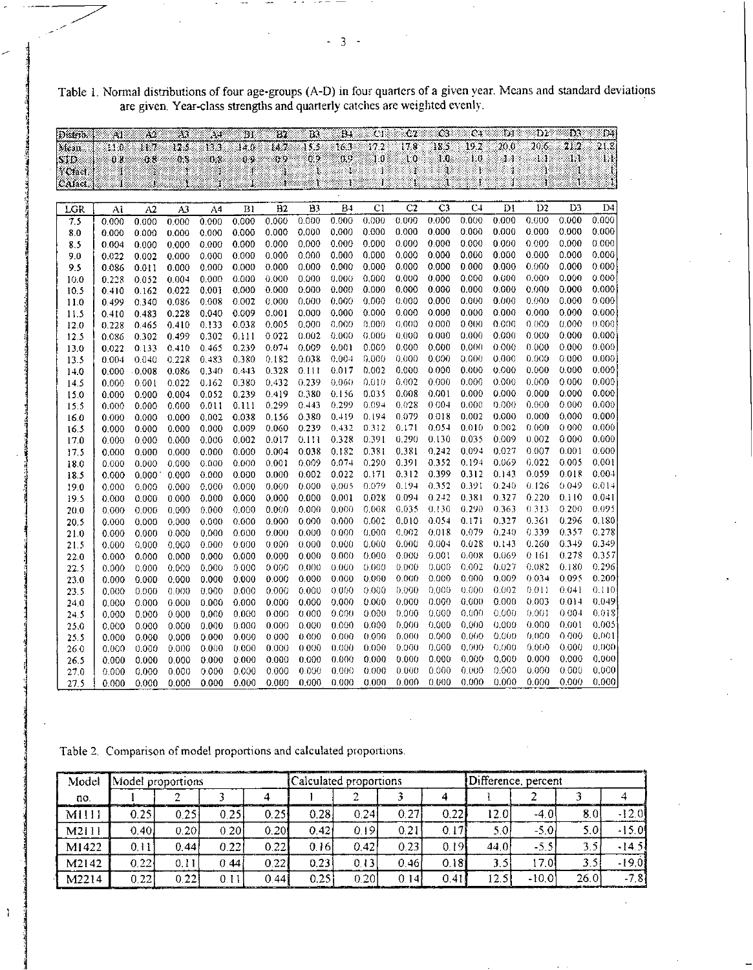| Table 1. Normal distributions of four age-groups (A-D) in four quarters of a given year. Means and standard deviations |  |
|------------------------------------------------------------------------------------------------------------------------|--|
| are given. Year-class strengths and quarterly catches are weighted evenly.                                             |  |

| Distrib.    | ÄГ             | $\mathbf{A2}$  | $\Lambda$      | 34             | $_{\rm B1}$    | 82              | BI             | B.             | ĊΤ             | C2             | ŢЗ.            | C <sub>1</sub> | D.             | $_{\rm D2}$    | D3             | $\mathbb{D}$ . |
|-------------|----------------|----------------|----------------|----------------|----------------|-----------------|----------------|----------------|----------------|----------------|----------------|----------------|----------------|----------------|----------------|----------------|
| Mean        | H1 O           | 11.7           | 12.5           | 13.3           | 14.0           | 14.7            | 15.2           | 16.3           | 17.2           | 17.8           | 18.5           | 19.2           | $^{20.0}$      | 20.6           | 21.2           | 21.8           |
| SID         | 08             | 0.8            | 0.3            | 83             | $0 -$          | 0.9             | 0.9            | 69             | 1:0            | 10             | 10             | TО             | Y.             | Ü.             | T, t           | Ļ.             |
| YCfaer      | ı              |                |                |                |                |                 |                | Į              |                | 1              |                |                |                |                |                |                |
| CAfact.     | 1              | Ĵ,             |                | ŧ              | 1              | Ì.              | T.             | ŧ              | 1              | ¥              | ï              | Ł              |                | į,             | Ĩ.             | Ĵ.             |
|             |                |                |                |                |                |                 |                |                |                |                |                |                |                |                |                |                |
| LGR         | Al             | A2             | A3             | A <sub>4</sub> | B <sub>1</sub> | $\overline{B2}$ | B <sub>3</sub> | <b>B4</b>      | C <sub>1</sub> | C <sub>2</sub> | C <sub>3</sub> | C <sub>4</sub> | DI             | D <sub>2</sub> | D <sub>3</sub> | D <sub>4</sub> |
| 7.5         | 0.000          | 0.000          | 0,000          | 0.000          | 0.000          | 0.000           | 0.000          | 0.000          | 0.000          | 0.000          | 0,000          | 0.000          | 0.000          | 0.000          | 0.000          | 0.000          |
| 8.0         | 0.000          | 0.000          | 0.000          | 0.000          | 0.000          | 0.000           | 0.000          | 0.000          | 0.000          | 0.000          | 0.000          | 0.000          | 0.000          | 0.000          | 0.000          | 0.000          |
| 8.5         | 0.004          | 0.000          | 0.000          | 0.000          | 0.000          | 0.000           | 0.000          | 0.000          | 0.000          | 0.000          | 0.000          | 0.000          | 0.000          | 0.000          | 0.000          | 0.000          |
| 9.0         | 0.022          | 0.002          | 0.000          | 0.000          | 0.000          | 0.000           | 0.000          | 0.000          | 0.000          | 0.000          | 0.000          | 0.000          | 0.000          | 0.000          | 0,000          | 0.000          |
| 9.5         | 0.086          | 0.011          | 0.000          | 0.000          | 0.000          | 0.000           | 0.000          | 0.000          | 0.000          | 0.000          | 0.000          | 0.000          | 0.000          | 0.000          | 0.000          | 0.000          |
| 10.0        | 0.228          | 0.052          | 0.004          | 0.000          | 0.000          | 0.000           | 0.000          | 0.000          | 0.000          | 0.000          | 0.000          | 0.000          | 0.000          | 0.000          | 0.000          | 0.000          |
| 10.5        | 0.410          | 0.162          | 0.022          | 0.001          | 0.000          | 0.000           | 0.000          | 0.000          | 0.000          | 0.000          | 0.000          | 0.000          | 0.000          | 0.000          | 0.000          | 0.000          |
| 11.0        | 0.499          | 0.340          | 0.086          | 0.008          | 0.002          | 0.000           | 0.000          | 0.000          | 0.000          | 0.000          | 0.000          | 0.000          | 0.000          | 0.000          | 0.000          | 0.000          |
| 11.5        | 0.410          | 0.483          | 0.228          | 0.040          | 0.009          | 0.001           | 0.000          | 0.000          | 0.000          | 0.000          | 0.000          | 0.000          | 0.000          | 0.000          | 0.000          | 0.000          |
| 12.0        | 0.228          | 0.465          | 0.410          | 0.133          | 0.038          | 0.005           | 0.000          | 0.000          | 0.000          | 0.000          | 0.000          | 0.000          | 0.000          | 0.000          | 0.000          | 0.000          |
| 12.5        | 0.086          | 0.302          | 0.499          | 0.302          | 0.111          | 0.022           | 0.002          | 0.000          | 0.000          | 0.000          | 0.000          | 0.000          | 0.000          | 0.000          | 0.000          | 0.000          |
| 13.0        | 0.022          | 0.133          | 0.410          | 0.465          | 0.239          | 0.074           | 0.009          | 0.001<br>0.004 | 0.000<br>0.000 | 0.000<br>0.000 | 0.000<br>0.000 | 0.000<br>0.000 | 0.000<br>0.000 | 0.000<br>0.000 | 0.000<br>0.000 | 0.000<br>0.000 |
| 135         | 0.004          | 0.040          | 0.228          | 0.483<br>0.340 | 0.380          | 0.182<br>0.328  | 0.038<br>0.111 | 0.017          | 0.002          | 0.000          | 0.000          | 0.000          | 0.000          | 0.000          | 0.000          | 0.000          |
| 140         | 0.000          | 0.008          | 0.086          |                | 0.443<br>0.380 | 0.432           | 0.239          | 0.060          | 0.010          | 0.002          | 0.000          | 0.000          | 0.000          | 0.000          | 0.000          | 0.000          |
| 14.5        | 0.000<br>0.000 | 0.001<br>0.000 | 0.022<br>0.004 | 0.162<br>0.052 | 0.239          | 0.419           | 0.380          | 0.156          | 0.035          | 0.008          | 0.001          | 0.000          | 0.000          | 0.000          | 0.000          | 0.000          |
| 150<br>15.5 | 0.000          | 0.000          | 0.000          | 0.011          | 0.111          | 0.299           | 0.443          | 0.299          | 0.094          | 0.028          | 0.004          | 0.000          | 0.000          | 0.000          | 0.000          | 0.000          |
| 16.0        | 0.000          | 0.000          | 0.000          | 0.002          | 0.038          | 0.156           | 0.380          | 0.419          | 0.194          | 0.079          | 0.018          | 0.002          | 0.000          | 0.000          | 0.000          | 0.000          |
| 16.5        | 0.000          | 0.000          | 0.000          | 0.000          | 0.009          | 0.060           | 0.239          | 0.432          | 0.312          | 0.171          | 0.054          | 0.010          | 0.002          | 0.000          | 0.000          | 0.000          |
| 17.0        | 0.000          | 0.000          | 0.000          | 0.000          | 0.002          | 0.017           | 0.111          | 0.328          | 0.391          | 0.290          | 0.130          | 0.035          | 0.009          | 0.002          | 0.000          | 0.000          |
| 17.5        | 0.000          | 0.000          | 0.000          | 0.000          | 0.000          | 0.004           | 0.038          | 0.182          | 0.381          | 0.381          | 0.242          | 0.094          | 0.027          | 0.007          | 0.001          | 0.000          |
| 18.0        | 0.000          | 0.000          | 0.000          | 0.000          | 0.000          | 0.001           | 0.009          | 0.074          | 0.290          | 0.391          | 0.352          | 0.194          | 0.069          | 0.022          | 0.005          | 0.001          |
| 18.5        | 0.000          | 0.000          | 0.000          | 0.000          | 0.000          | 0.000           | 0.002          | 0.022          | 0.171          | 0.312          | 0.399          | 0.312          | 0.143          | 0.059          | 0.018          | $0.00 +$       |
| 19.0        | 0.000          | 0.000          | 0.000          | 0.000          | 0.000          | 0.000           | 0.000          | 0.005          | 0.079          | 0.194          | 0.352          | 0.391          | 0.240          | 0.126          | 0.049          | 0.014          |
| 19.5        | 0.000          | 0.000          | 0.000          | 0.000          | 0.000          | 0.000           | 0.000          | 0.001          | 0.028          | 0.094          | 0.242          | 0.381          | 0.327          | 0.220          | 0.110          | 0.041          |
| 20.0        | 0.000          | 0.000          | 0.000          | 0.000          | 0.000          | 0.000           | 0.000          | 0.000          | 0.008          | 0.035          | 0.130          | 0.290          | 0.363          | 0.313          | 0.200          | 0.095          |
| 20.5        | 0.000          | 0.000          | 0.000          | 0.000          | 0.000          | 0.000           | 0.000          | 0.000          | 0.002          | 0.010          | 0.054          | 0.171          | 0.327          | 0.361          | 0.296          | 0.180          |
| 21.0        | 0.000          | 0.000          | 0.000          | 0.000          | 0.000          | 0.000           | 0.000          | 0.000          | 0.000          | 0.002          | 0.018          | 0.079          | 0.240          | 0.339          | 0.357          | 0.278          |
| 21.5        | 0.000          | 0.000          | 0.000          | 0.000          | 0.000          | 0.000           | 0.000          | 0.000          | 0.000          | 0.000          | 0.004          | 0.028          | 0.143          | 0.260          | 0.349          | 0.349          |
| 22.0        | 0.000          | 0.000          | 0.000          | 0.000          | 0.000          | 0.000           | 0.000          | 0.000          | 0.000          | 0.000          | 0.001          | 0.008          | 0.069          | 0.161          | 0.278          | 0.357          |
| 22.5        | 0.000          | 0.000          | 0.000          | 0.000          | 0.000          | 0.000           | 0.000          | 0.000          | 0.000          | 0.000          | 0.000          | 0.002          | 0.027          | 0.082          | 0.180          | 0.296          |
| 23.0        | 0.000          | 0.000          | 0.000          | 0.000          | 0.000          | 0.000           | 0.000          | 0.000          | 0.000          | 0.000          | 0.000          | 0.000          | 0.009          | 0.034          | 0.095          | 0.200          |
| 23.5        | 0.000          | 0.000          | 0.000          | 0.000          | 0.000          | 0.000           | 0.000          | 0.000          | 0.000          | 0.000          | 0.000          | 0.000          | 0.002          | 0.011          | 0.041          | 0.110          |
| 24.0        | 0.000          | 0.000          | 0.000          | 0.000          | 0.000          | 0.000           | 0.000          | 0.000          | 0.000          | 0.000          | 0.000          | 0.000          | 0.000          | 0.003          | 0.014          | 0.049          |
| 24.5        | 0.000          | 0.000          | 0.000          | 0.000          | 0.000          | 0.000           | 0.000          | 0.000          | 0.000          | 0.000          | 0.000          | 0.000          | 0.000          | 0.001          | 0.004          | 0.018          |
| 25.0        | 0.000          | 0.000          | 0.000          | 0.000          | 0.000          | 0.000           | 0.000          | 0.000          | 0.000          | 0.000          | 0.000          | 0.000          | 0.000          | 0.000          | 0.001          | 0.005          |
| 25.5        | 0.000          | 0.000          | 0.000          | 0.000          | 0.000          | 0.000           | 0.000          | 0.000          | 0.000          | 0.000          | 0.000          | 0.000          | 0.000          | 0.000          | 0.000          | 0.001          |
| 26.0        | 0.000          | 0.000          | 0.000          | 0.000          | 0.000          | 0.000           | 0.000          | 0.000          | 0.000          | 0.000          | 0.000          | 0.000          | 0.000          | 0.000          | 0.000          | 0.000          |
| 26.5        | 0.000          | 0.000          | 0.000          | 0.000          | 0.000          | 0.000           | 0.000          | 0.000          | 0.000          | 0.000          | 0.000          | 0.000          | 0.000          | 0.000          | 0.000          | 0.000          |
| 27.0        | 0.000          | 0.000          | 0.000          | 0.000          | 0.000          | 0.000           | 0.000          | 0.000          | 0.000          | 0.000          | 0.000          | 0.000          | 0.000          | 0.000          | 0.000          | 0.000          |
| 27.5        | 0.000          | 0.000          | 0.000          | 0.000          | 0.000          | 0.000           | 0.000          | 0.000          | 0.000          | 0.000          | 0.000          | 0.000          | 0.000          | 0.000          | 0.000          | 0.000          |

|  | Table 2. Comparison of model proportions and calculated proportions. |  |
|--|----------------------------------------------------------------------|--|
|  |                                                                      |  |

 $\mathbf{I}$ 

| Model | Model proportions |       |       |       | Calculated proportions |                |      |       | The project of the company of the company of the company of the company of the company of the company of the company<br>Difference, percent |        |       |                                                                            |  |
|-------|-------------------|-------|-------|-------|------------------------|----------------|------|-------|---------------------------------------------------------------------------------------------------------------------------------------------|--------|-------|----------------------------------------------------------------------------|--|
| no.   |                   |       |       |       |                        |                |      |       |                                                                                                                                             |        |       |                                                                            |  |
| M1111 | 0.25              | 0.25  | 0.25  | 0.251 | 0.28                   | 0.24           | 0.27 | 0.221 | 12.O                                                                                                                                        | $-4.0$ | 80    | $-12.0$                                                                    |  |
| M2111 | $0.40^{1}$        | 0.20  | 0.20  | 0.201 | 0.421                  | 0.19'          | 0.21 | 0.17  | 5.0.                                                                                                                                        | $-5.0$ | 5.0.  | $-15.0$                                                                    |  |
| M1422 | 0.11              | 0.441 | 0.221 | 0.221 | 0.16                   | 0.42           | 0.23 | 0.19  | 44.0I                                                                                                                                       | $-5.5$ | ว ร   | $-14.5$                                                                    |  |
| M2142 | 0.22              | 0.11  | 0.44  | 0.221 | 0.23                   | 0.13           | 0.46 | 0.181 |                                                                                                                                             | 7.0    | 3.5   | $-19.01$                                                                   |  |
| M2214 | 0.22              | 0.22  | 0.11  | 0.441 | 0.25                   | $0.20^{\circ}$ | 014  | 0.41  | 12.5<br>_______                                                                                                                             | -10.01 | 26.01 | -7.81<br>and the deduction of the field of Party are work fundamental (TV) |  |

- 3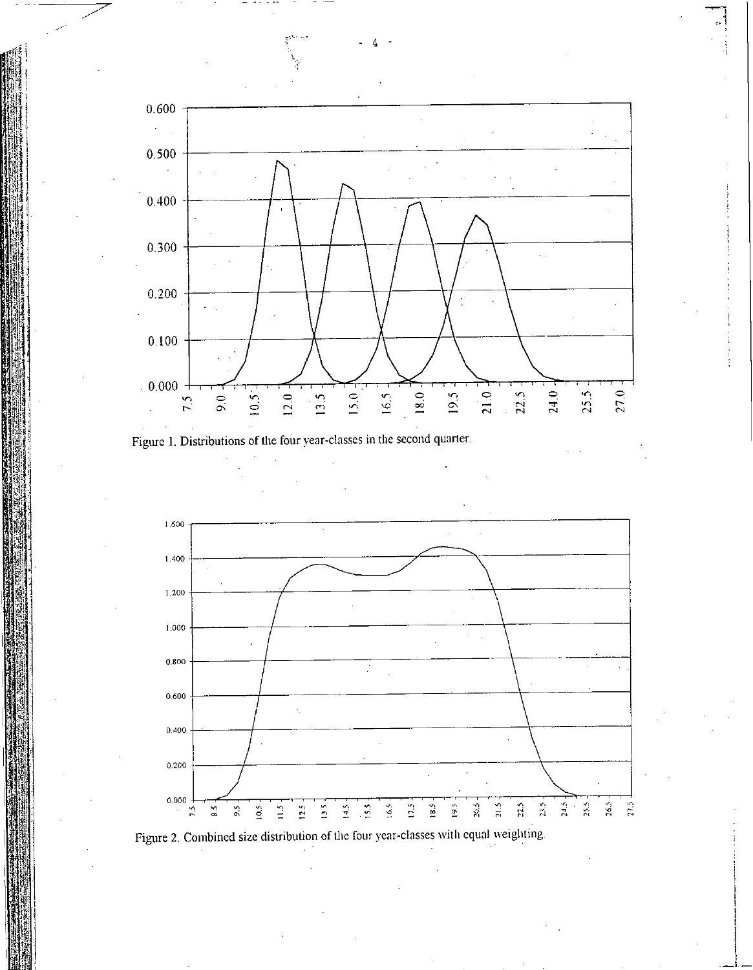





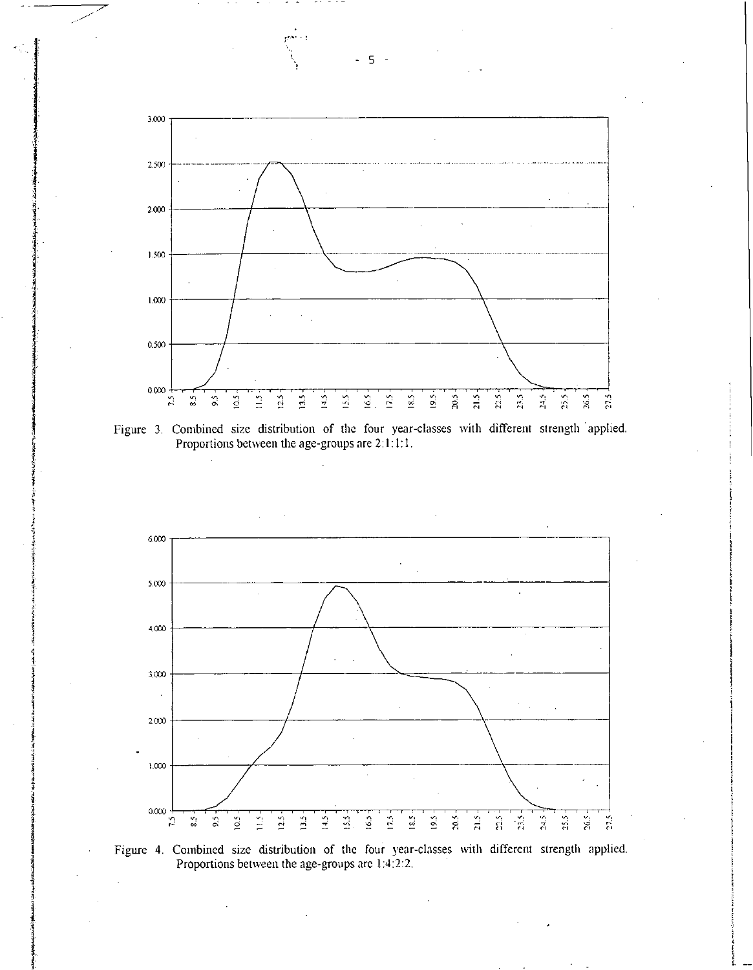







- 5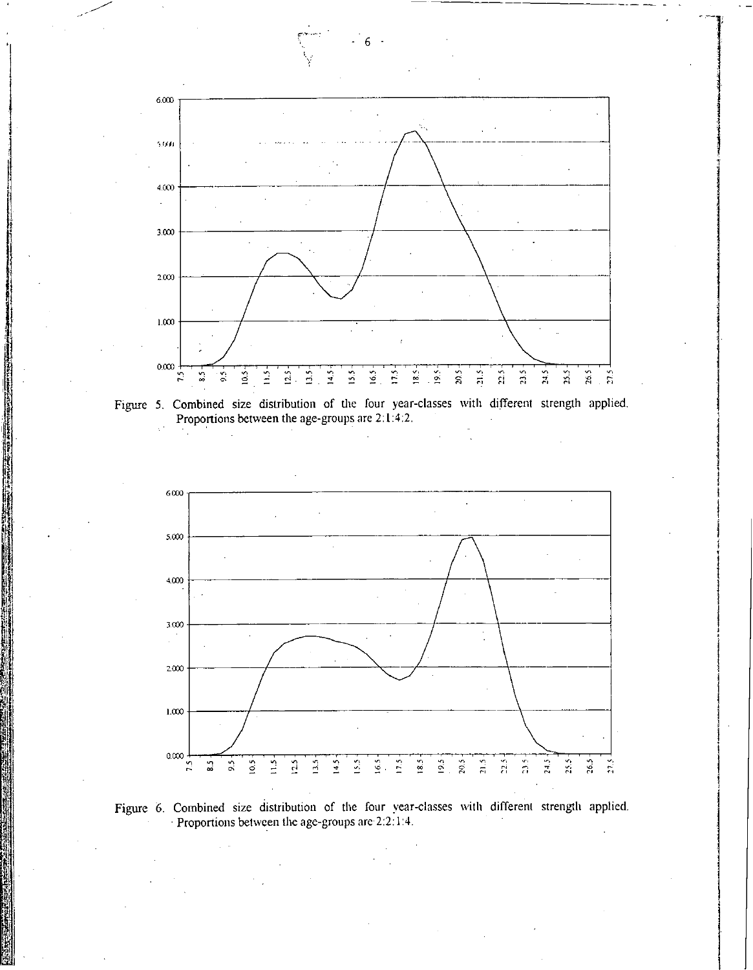

6

Figure 5. Combined size distribution of the four year-classes with different strength applied.<br>Proportions between the age-groups are 2:1:4:2.



Figure 6. Combined size distribution of the four year-classes with different strength applied. Proportions between the age-groups are 2:2:1:4.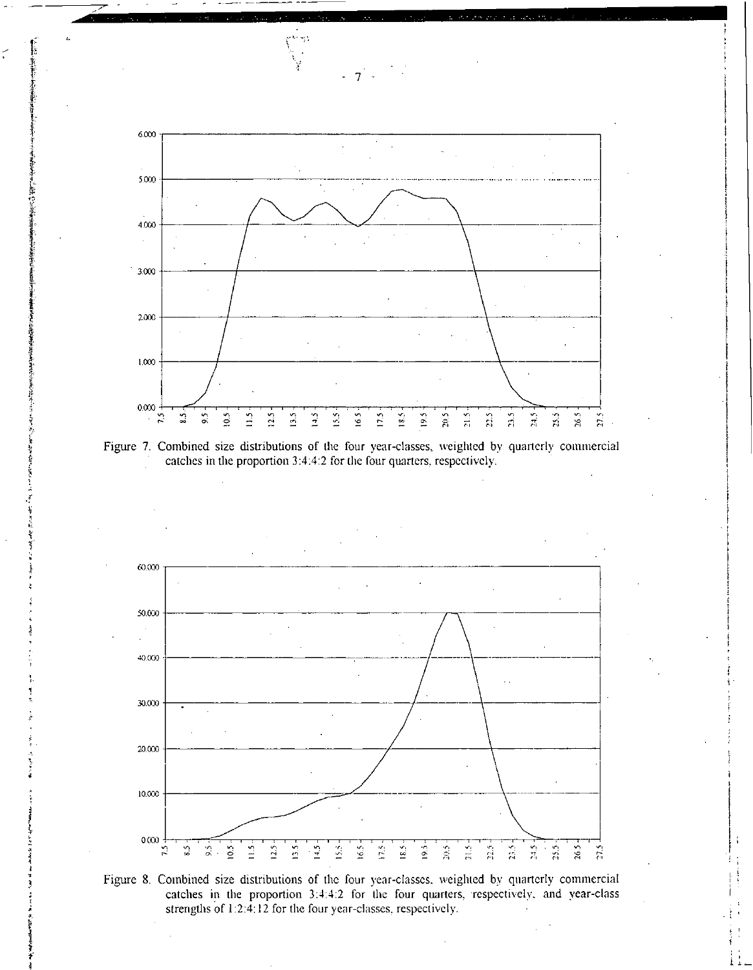

Figure 7. Combined size distributions of the four year-classes, weighted by quarterly commercial catches in the proportion 3:4:4:2 for the four quarters, respectively.

おんないのかい けんきょう きゅうき じきねん

ģ

J. Ŷ